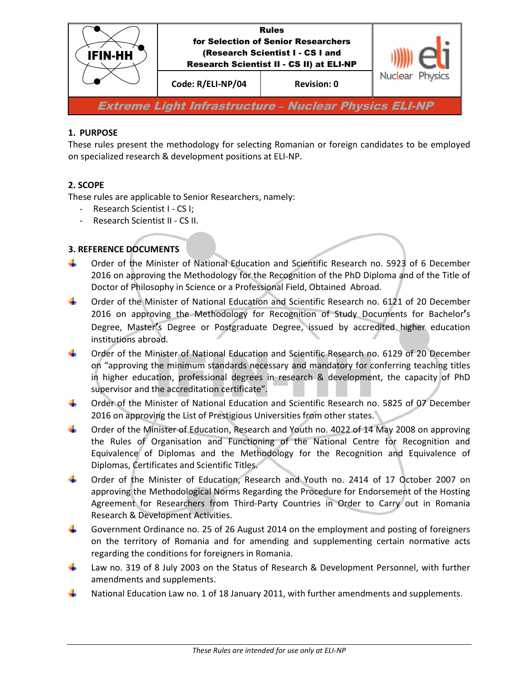

# **1. PURPOSE**

These rules present the methodology for selecting Romanian or foreign candidates to be employed on specialized research & development positions at ELI-NP.

# **2. SCOPE**

These rules are applicable to Senior Researchers, namely:

- Research Scientist I CS I;
- Research Scientist II CS II.

# **3. REFERENCE DOCUMENTS**

- ÷. Order of the Minister of National Education and Scientific Research no. 5923 of 6 December 2016 on approving the Methodology for the Recognition of the PhD Diploma and of the Title of Doctor of Philosophy in Science or a Professional Field, Obtained Abroad.
- 4 Order of the Minister of National Education and Scientific Research no. 6121 of 20 December 2016 on approving the Methodology for Recognition of Study Documents for Bachelor**'**s Degree, Master**'**s Degree or Postgraduate Degree, issued by accredited higher education institutions abroad.
- 4 Order of the Minister of National Education and Scientific Research no. 6129 of 20 December on "approving the minimum standards necessary and mandatory for conferring teaching titles in higher education, professional degrees in research & development, the capacity of PhD supervisor and the accreditation certificate".
- ÷. Order of the Minister of National Education and Scientific Research no. 5825 of 07 December 2016 on approving the List of Prestigious Universities from other states.
- ۰. Order of the Minister of Education, Research and Youth no. 4022 of 14 May 2008 on approving the Rules of Organisation and Functioning of the National Centre for Recognition and Equivalence of Diplomas and the Methodology for the Recognition and Equivalence of Diplomas, Certificates and Scientific Titles.
- ٠ Order of the Minister of Education, Research and Youth no. 2414 of 17 October 2007 on approving the Methodological Norms Regarding the Procedure for Endorsement of the Hosting Agreement for Researchers from Third-Party Countries in Order to Carry out in Romania Research & Development Activities.
- ÷. Government Ordinance no. 25 of 26 August 2014 on the employment and posting of foreigners on the territory of Romania and for amending and supplementing certain normative acts regarding the conditions for foreigners in Romania.
- Law no. 319 of 8 July 2003 on the Status of Research & Development Personnel, with further ۳. amendments and supplements.
- ۳. National Education Law no. 1 of 18 January 2011, with further amendments and supplements.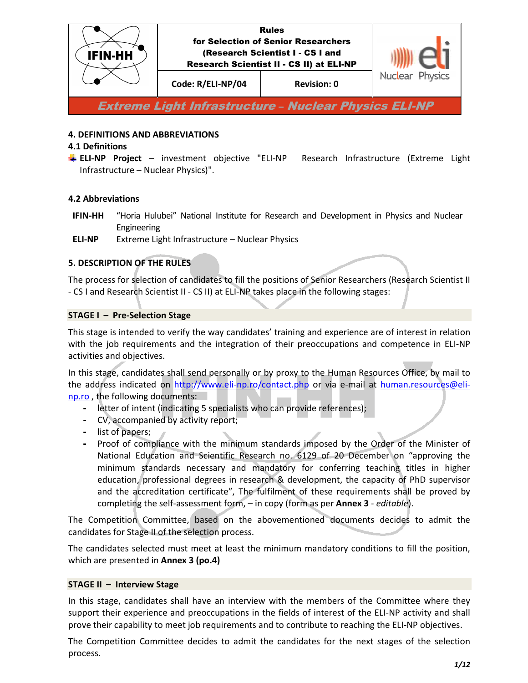

### **4. DEFINITIONS AND ABBREVIATIONS**

#### **4.1 Definitions**

**ELI-NP Project** – investment objective "ELI-NP Research Infrastructure (Extreme Light Infrastructure – Nuclear Physics)".

### **4.2 Abbreviations**

- **IFIN-HH** "Horia Hulubei" National Institute for Research and Development in Physics and Nuclear Engineering
- **ELI-NP** Extreme Light Infrastructure Nuclear Physics

# **5. DESCRIPTION OF THE RULES**

The process for selection of candidates to fill the positions of Senior Researchers (Research Scientist II - CS I and Research Scientist II - CS II) at ELI-NP takes place in the following stages:

### **STAGE I – Pre-Selection Stage**

This stage is intended to verify the way candidates' training and experience are of interest in relation with the job requirements and the integration of their preoccupations and competence in ELI-NP activities and objectives.

In this stage, candidates shall send personally or by proxy to the Human Resources Office, by mail to the address indicated on http://www.eli-np.ro/contact.php or via e-mail at human.resources@elinp.ro , the following documents:

- letter of intent (indicating 5 specialists who can provide references);
- CV, accompanied by activity report;
- list of papers;
- Proof of compliance with the minimum standards imposed by the Order of the Minister of National Education and Scientific Research no. 6129 of 20 December on "approving the minimum standards necessary and mandatory for conferring teaching titles in higher education, professional degrees in research & development, the capacity of PhD supervisor and the accreditation certificate", The fulfilment of these requirements shall be proved by completing the self-assessment form, – in copy (form as per **Annex 3** - *editable*).

The Competition Committee, based on the abovementioned documents decides to admit the candidates for Stage II of the selection process.

The candidates selected must meet at least the minimum mandatory conditions to fill the position, which are presented in **Annex 3 (po.4)**

#### **STAGE II – Interview Stage**

In this stage, candidates shall have an interview with the members of the Committee where they support their experience and preoccupations in the fields of interest of the ELI-NP activity and shall prove their capability to meet job requirements and to contribute to reaching the ELI-NP objectives.

The Competition Committee decides to admit the candidates for the next stages of the selection process.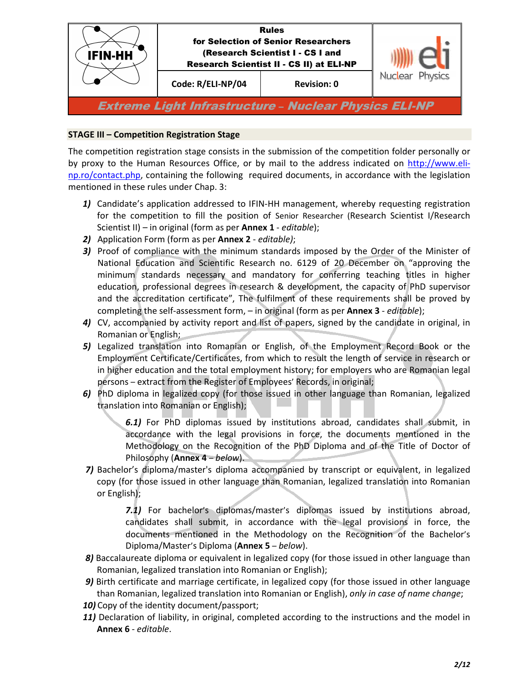

### **STAGE III – Competition Registration Stage**

The competition registration stage consists in the submission of the competition folder personally or by proxy to the Human Resources Office, or by mail to the address indicated on http://www.elinp.ro/contact.php, containing the following required documents, in accordance with the legislation mentioned in these rules under Chap. 3:

- *1)* Candidate's application addressed to IFIN-HH management, whereby requesting registration for the competition to fill the position of Senior Researcher (Research Scientist I/Research Scientist II) – in original (form as per **Annex 1** - *editable*);
- *2)* Application Form (form as per **Annex 2** *editable)*;
- *3)* Proof of compliance with the minimum standards imposed by the Order of the Minister of National Education and Scientific Research no. 6129 of 20 December on "approving the minimum standards necessary and mandatory for conferring teaching titles in higher education, professional degrees in research & development, the capacity of PhD supervisor and the accreditation certificate", The fulfilment of these requirements shall be proved by completing the self-assessment form, – in original (form as per **Annex 3** - *editable*);
- *4)* CV, accompanied by activity report and list of papers, signed by the candidate in original, in Romanian or English;
- *5)* Legalized translation into Romanian or English, of the Employment Record Book or the Employment Certificate/Certificates, from which to result the length of service in research or in higher education and the total employment history; for employers who are Romanian legal persons – extract from the Register of Employees' Records, in original;
- *6)* PhD diploma in legalized copy (for those issued in other language than Romanian, legalized translation into Romanian or English);

*6.1)* For PhD diplomas issued by institutions abroad, candidates shall submit, in accordance with the legal provisions in force, the documents mentioned in the Methodology on the Recognition of the PhD Diploma and of the Title of Doctor of Philosophy (**Annex 4** – *below*).

*7)* Bachelor's diploma/master's diploma accompanied by transcript or equivalent, in legalized copy (for those issued in other language than Romanian, legalized translation into Romanian or English);

> *7.1)* For bachelor's diplomas/master's diplomas issued by institutions abroad, candidates shall submit, in accordance with the legal provisions in force, the documents mentioned in the Methodology on the Recognition of the Bachelor's Diploma/Master's Diploma (**Annex 5** – *below*).

- *8)* Baccalaureate diploma or equivalent in legalized copy (for those issued in other language than Romanian, legalized translation into Romanian or English);
- *9)* Birth certificate and marriage certificate, in legalized copy (for those issued in other language than Romanian, legalized translation into Romanian or English), *only in case of name change*;
- *10)* Copy of the identity document/passport;
- 11) Declaration of liability, in original, completed according to the instructions and the model in **Annex 6** - *editable*.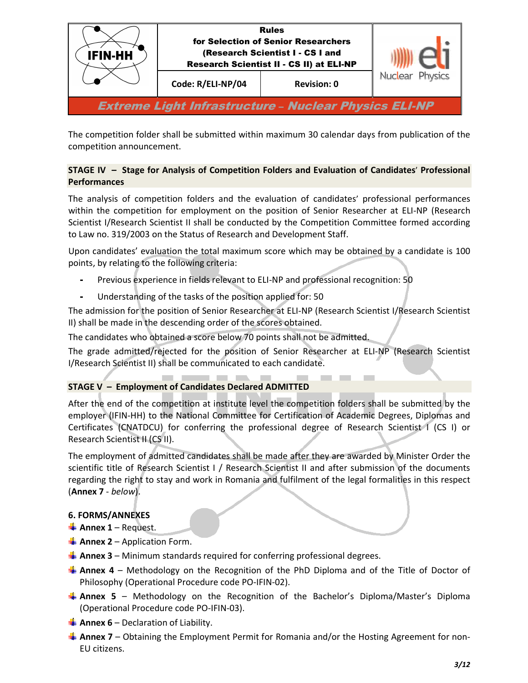

The competition folder shall be submitted within maximum 30 calendar days from publication of the competition announcement.

# **STAGE IV – Stage for Analysis of Competition Folders and Evaluation of Candidates**' **Professional Performances**

The analysis of competition folders and the evaluation of candidates' professional performances within the competition for employment on the position of Senior Researcher at ELI-NP (Research Scientist I/Research Scientist II shall be conducted by the Competition Committee formed according to Law no. 319/2003 on the Status of Research and Development Staff.

Upon candidates' evaluation the total maximum score which may be obtained by a candidate is 100 points, by relating to the following criteria:

- Previous experience in fields relevant to ELI-NP and professional recognition: 50
- Understanding of the tasks of the position applied for: 50

The admission for the position of Senior Researcher at ELI-NP (Research Scientist I/Research Scientist II) shall be made in the descending order of the scores obtained.

The candidates who obtained a score below 70 points shall not be admitted.

The grade admitted/rejected for the position of Senior Researcher at ELI-NP (Research Scientist I/Research Scientist II) shall be communicated to each candidate.

**STATISTICS** 

# **STAGE V – Employment of Candidates Declared ADMITTED**

After the end of the competition at institute level the competition folders shall be submitted by the employer (IFIN-HH) to the National Committee for Certification of Academic Degrees, Diplomas and Certificates (CNATDCU) for conferring the professional degree of Research Scientist I (CS I) or Research Scientist II (CS II).

The employment of admitted candidates shall be made after they are awarded by Minister Order the scientific title of Research Scientist I / Research Scientist II and after submission of the documents regarding the right to stay and work in Romania and fulfilment of the legal formalities in this respect (**Annex 7** - *below*).

#### **6. FORMS/ANNEXES**

- $\frac{1}{2}$  Annex 1 Request.
- $\frac{1}{2}$  **Annex 2** Application Form.
- **Annex 3** Minimum standards required for conferring professional degrees.
- **Annex 4** Methodology on the Recognition of the PhD Diploma and of the Title of Doctor of Philosophy (Operational Procedure code PO-IFIN-02).
- **Annex 5** Methodology on the Recognition of the Bachelor's Diploma/Master's Diploma (Operational Procedure code PO-IFIN-03).
- **Annex 6** Declaration of Liability.
- **Annex 7** Obtaining the Employment Permit for Romania and/or the Hosting Agreement for non-EU citizens.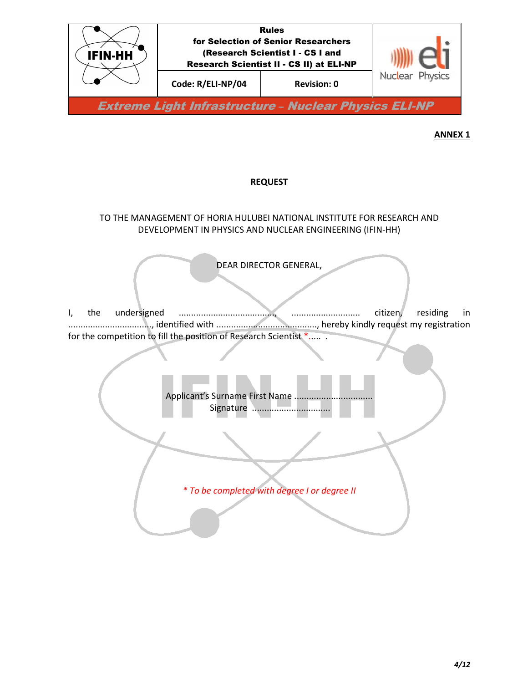

# **REQUEST**

# TO THE MANAGEMENT OF HORIA HULUBEI NATIONAL INSTITUTE FOR RESEARCH AND DEVELOPMENT IN PHYSICS AND NUCLEAR ENGINEERING (IFIN-HH)

DEAR DIRECTOR GENERAL,

I, the undersigned ......................................., ............................ citizen, residing in .................................., identified with ........................................., hereby kindly request my registration for the competition to fill the position of Research Scientist \*..... .

l

Applicant's Surname First Name ............... Signature ...................................

Ì *\* To be completed with degree I or degree II*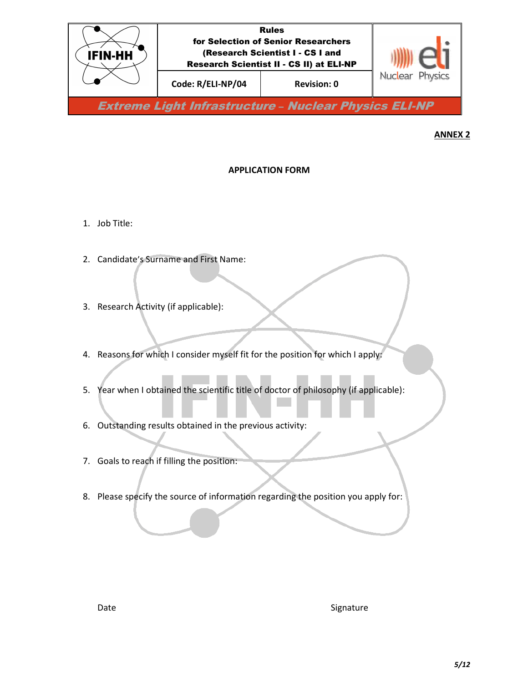

# **APPLICATION FORM**

- 1. Job Title:
- 2. Candidate's Surname and First Name:
- 3. Research Activity (if applicable):
- 4. Reasons for which I consider myself fit for the position for which I apply:
- 5. Year when I obtained the scientific title of doctor of philosophy (if applicable):
- 6. Outstanding results obtained in the previous activity:
- 7. Goals to reach if filling the position:
- 8. Please specify the source of information regarding the position you apply for: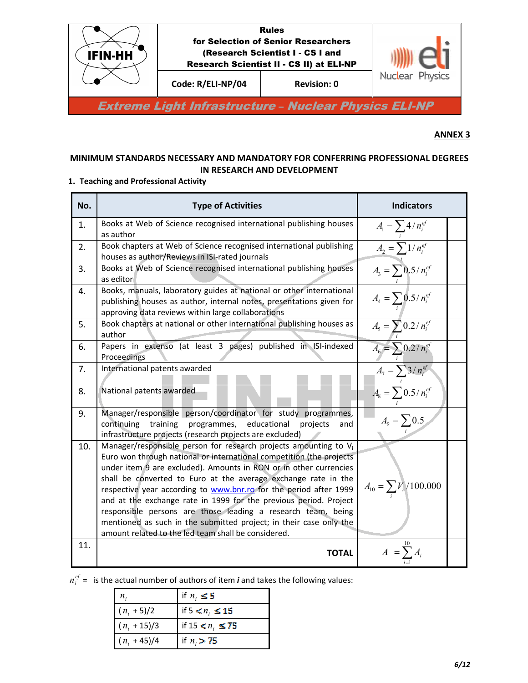

# **MINIMUM STANDARDS NECESSARY AND MANDATORY FOR CONFERRING PROFESSIONAL DEGREES IN RESEARCH AND DEVELOPMENT**

# **1. Teaching and Professional Activity**

| No. | <b>Type of Activities</b>                                                                                                                                                                                                                                                                                                                                                                                                                                                                                                                                                                                                        | <b>Indicators</b>                                            |  |
|-----|----------------------------------------------------------------------------------------------------------------------------------------------------------------------------------------------------------------------------------------------------------------------------------------------------------------------------------------------------------------------------------------------------------------------------------------------------------------------------------------------------------------------------------------------------------------------------------------------------------------------------------|--------------------------------------------------------------|--|
| 1.  | Books at Web of Science recognised international publishing houses<br>as author                                                                                                                                                                                                                                                                                                                                                                                                                                                                                                                                                  | $A_{\rm l} = \sum 4/n_i^{ef}$                                |  |
| 2.  | Book chapters at Web of Science recognised international publishing<br>houses as author/Reviews in ISI-rated journals                                                                                                                                                                                                                                                                                                                                                                                                                                                                                                            | $A_2 = \sum^i 1/n_i^{ef}$                                    |  |
| 3.  | Books at Web of Science recognised international publishing houses<br>as editor                                                                                                                                                                                                                                                                                                                                                                                                                                                                                                                                                  | $A_3 = \sum 0.5 / n_i^{ef}$                                  |  |
| 4.  | Books, manuals, laboratory guides at national or other international<br>publishing houses as author, internal notes, presentations given for<br>approving data reviews within large collaborations                                                                                                                                                                                                                                                                                                                                                                                                                               | $A_4 = \sum 0.5 / n_i^{ef}$                                  |  |
| 5.  | Book chapters at national or other international publishing houses as<br>author                                                                                                                                                                                                                                                                                                                                                                                                                                                                                                                                                  | $A_5 = \sum_i 0.2 / n_i^{ef}$                                |  |
| 6.  | Papers in extenso (at least 3 pages) published in ISI-indexed<br>Proceedings                                                                                                                                                                                                                                                                                                                                                                                                                                                                                                                                                     | $A_6 = \sum_i 0.2 / n_i^{ef}$<br>$A_7 = \sum_i 3 / n_i^{ef}$ |  |
| 7.  | International patents awarded                                                                                                                                                                                                                                                                                                                                                                                                                                                                                                                                                                                                    |                                                              |  |
| 8.  | National patents awarded                                                                                                                                                                                                                                                                                                                                                                                                                                                                                                                                                                                                         | $A_8 = \sum_i 0.5 / n_i^{ef}$                                |  |
| 9.  | Manager/responsible person/coordinator for study programmes,<br>continuing<br>training<br>programmes, educational<br>projects<br>and<br>infrastructure projects (research projects are excluded)                                                                                                                                                                                                                                                                                                                                                                                                                                 | $A_9 = \sum 0.5$                                             |  |
| 10. | Manager/responsible person for research projects amounting to $V_i$<br>Euro won through national or international competition (the projects<br>under item 9 are excluded). Amounts in RON or in other currencies<br>shall be converted to Euro at the average exchange rate in the<br>respective year according to <b>www.bnr.ro</b> for the period after 1999<br>and at the exchange rate in 1999 for the previous period. Project<br>responsible persons are those leading a research team, being<br>mentioned as such in the submitted project; in their case only the<br>amount related to the led team shall be considered. | $A_{10} = \sum_i V_i / 100.000$                              |  |
| 11. | <b>TOTAL</b>                                                                                                                                                                                                                                                                                                                                                                                                                                                                                                                                                                                                                     | $A = \sum_{i=1}^{N} A_i$                                     |  |

 $n_i^{ef}$  = is the actual number of authors of item *i* and takes the following values:

| $n_{i}$        | if $n_i \leq 5$       |
|----------------|-----------------------|
| $(n_i + 5)/2$  | if $5 < n_i \le 15$   |
| $(n_i + 15)/3$ | if $15 < n_i \leq 75$ |
| $(n_i + 45)/4$ | if $n_i > 75$         |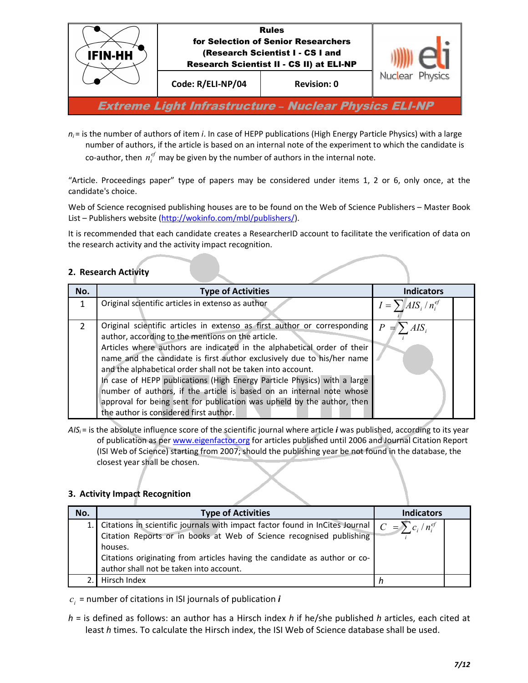

 $n_i$  = is the number of authors of item *i*. In case of HEPP publications (High Energy Particle Physics) with a large number of authors, if the article is based on an internal note of the experiment to which the candidate is co-author, then  $n_i^{ef}$  may be given by the number of authors in the internal note.

"Article. Proceedings paper" type of papers may be considered under items 1, 2 or 6, only once, at the candidate's choice.

Web of Science recognised publishing houses are to be found on the Web of Science Publishers – Master Book List – Publishers website (http://wokinfo.com/mbl/publishers/).

It is recommended that each candidate creates a ResearcherID account to facilitate the verification of data on the research activity and the activity impact recognition.

# **2. Research Activity**

| No.           | <b>Type of Activities</b>                                                                                                                                                                                                                                                                                                                                                                                                                                                                                                                                                                                                 | <b>Indicators</b>         |  |
|---------------|---------------------------------------------------------------------------------------------------------------------------------------------------------------------------------------------------------------------------------------------------------------------------------------------------------------------------------------------------------------------------------------------------------------------------------------------------------------------------------------------------------------------------------------------------------------------------------------------------------------------------|---------------------------|--|
|               | Original scientific articles in extenso as author                                                                                                                                                                                                                                                                                                                                                                                                                                                                                                                                                                         | $I = \sum AIS_i/n_i^{ef}$ |  |
| $\mathcal{P}$ | Original scientific articles in extenso as first author or corresponding<br>author, according to the mentions on the article.<br>Articles where authors are indicated in the alphabetical order of their<br>name and the candidate is first author exclusively due to his/her name<br>and the alphabetical order shall not be taken into account.<br>In case of HEPP publications (High Energy Particle Physics) with a large<br>number of authors, if the article is based on an internal note whose<br>approval for being sent for publication was upheld by the author, then<br>the author is considered first author. | $\boldsymbol{P}$          |  |

*AISi* = is the absolute influence score of the scientific journal where article *i* was published, according to its year of publication as per www.eigenfactor.org for articles published until 2006 and Journal Citation Report (ISI Web of Science) starting from 2007; should the publishing year be not found in the database, the closest year shall be chosen.

#### **3. Activity Impact Recognition**

| No. | <b>Type of Activities</b>                                                                                                                                                                                                                                                                                                         | <b>Indicators</b> |  |
|-----|-----------------------------------------------------------------------------------------------------------------------------------------------------------------------------------------------------------------------------------------------------------------------------------------------------------------------------------|-------------------|--|
|     | 1. Citations in scientific journals with impact factor found in InCites Journal $\int_{C} C = \sum_{i} c_i / n_i^{ef}$<br>Citation Reports or in books at Web of Science recognised publishing<br>houses.<br>Citations originating from articles having the candidate as author or co-<br>author shall not be taken into account. |                   |  |
|     | Hirsch Index                                                                                                                                                                                                                                                                                                                      |                   |  |

 $c_i$  = number of citations in ISI journals of publication  $\bm{i}$ 

*h* = is defined as follows: an author has a Hirsch index *h* if he/she published *h* articles, each cited at least *h* times. To calculate the Hirsch index, the ISI Web of Science database shall be used.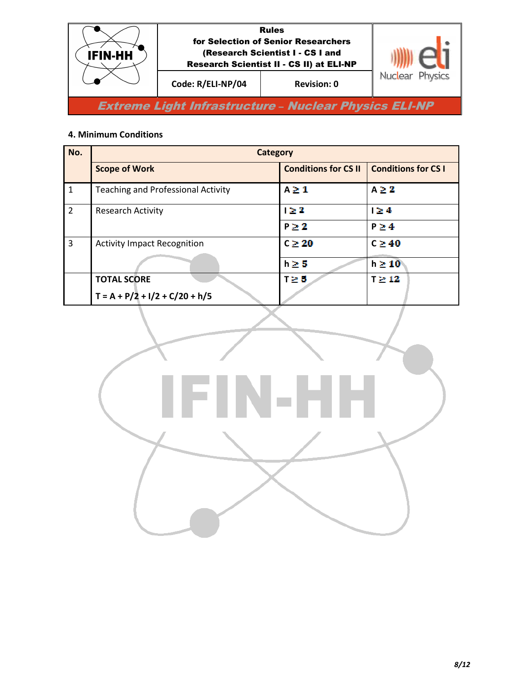

# **4. Minimum Conditions**

| No.            | <b>Category</b>                             |                             |                            |
|----------------|---------------------------------------------|-----------------------------|----------------------------|
|                | <b>Scope of Work</b>                        | <b>Conditions for CS II</b> | <b>Conditions for CS I</b> |
| $\mathbf{1}$   | <b>Teaching and Professional Activity</b>   | $A \geq 1$                  | $A \geq 2$                 |
| $\overline{2}$ | <b>Research Activity</b>                    | $1 \geq 2$                  | $1 \geq 4$                 |
|                |                                             | $P \geq 2$                  | $P \geq 4$                 |
| 3              | <b>Activity Impact Recognition</b>          | $C \geq 20$                 | $C \geq 40$                |
|                |                                             | $h \geq 5$                  | $h \geq 10$                |
|                | <b>TOTAL SCORE</b>                          | $T \geq 5$                  | $T \geq 12$                |
|                | $T = A + P/\overline{2} + I/2 + C/20 + h/5$ |                             |                            |

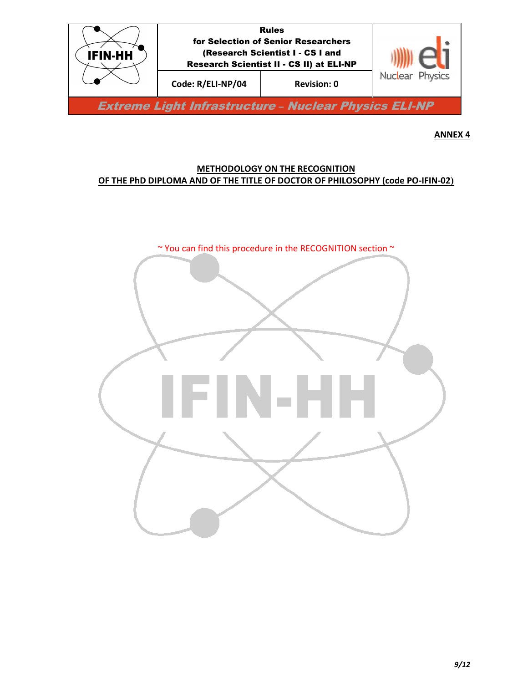

## **METHODOLOGY ON THE RECOGNITION OF THE PhD DIPLOMA AND OF THE TITLE OF DOCTOR OF PHILOSOPHY (code PO-IFIN-02)**

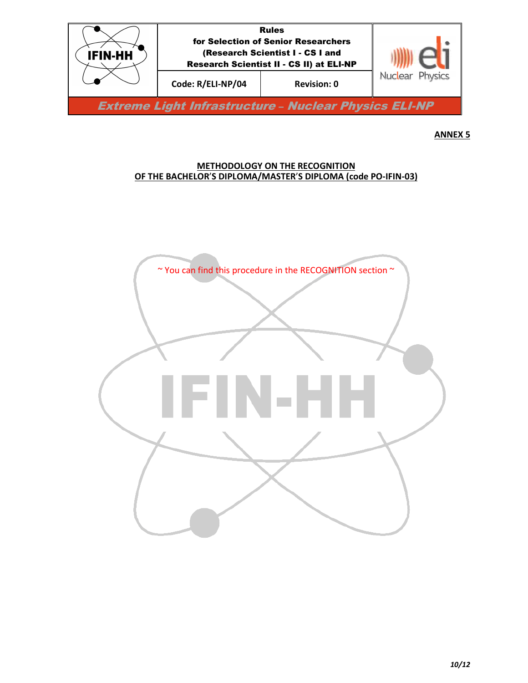

#### **METHODOLOGY ON THE RECOGNITION OF THE BACHELOR**'**S DIPLOMA/MASTER**'**S DIPLOMA (code PO-IFIN-03)**

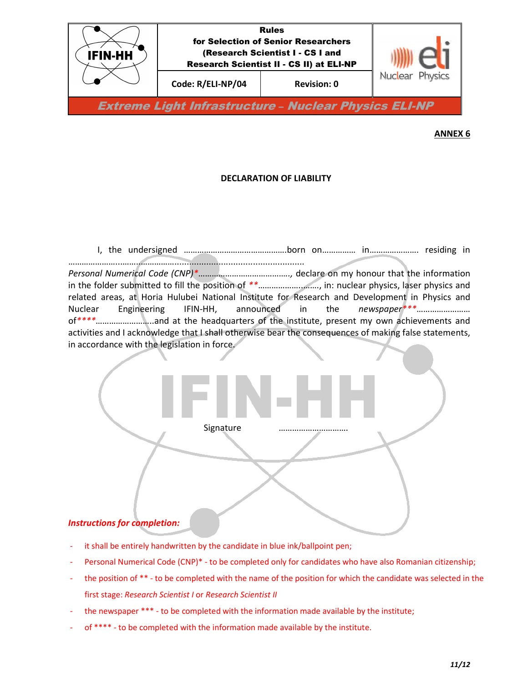

### **DECLARATION OF LIABILITY**

 I, the undersigned ……………………………………….born on…………… in…………………. residing in …………………...……..……………..................................................... *Personal Numerical Code (CNP)\**…………………………………*..,* declare on my honour that the information in the folder submitted to fill the position of *\*\**………………..……., in: nuclear physics, laser physics and related areas, at Horia Hulubei National Institute for Research and Development in Physics and Nuclear Engineering IFIN-HH, announced in the *newspaper\*\*\**…………………… of*\*\*\*\**……………………..and at the headquarters of the institute, present my own achievements and activities and I acknowledge that I shall otherwise bear the consequences of making false statements, in accordance with the legislation in force.



- it shall be entirely handwritten by the candidate in blue ink/ballpoint pen;
- Personal Numerical Code (CNP)\* to be completed only for candidates who have also Romanian citizenship;
- the position of \*\* to be completed with the name of the position for which the candidate was selected in the first stage: *Research Scientist I* or *Research Scientist II*
- the newspaper \*\*\* to be completed with the information made available by the institute;
- of \*\*\*\* to be completed with the information made available by the institute.